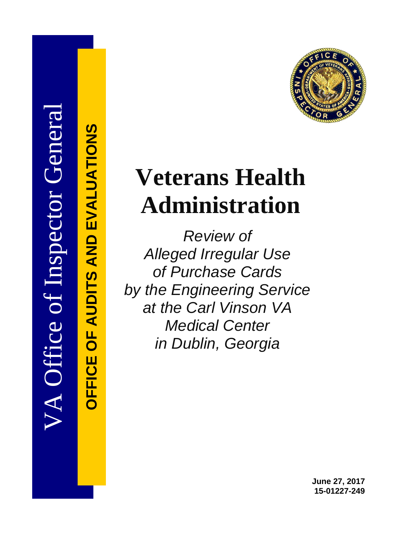

# **Veterans Health Administration**

*Review of Alleged Irregular Use of Purchase Cards by the Engineering Service at the Carl Vinson VA Medical Center in Dublin, Georgia* 

VA Office of Inspector General VA Office of Inspector General

**OFFICE OF AUDITS AND EVALUATIONS OFFICE OF AUDITS AND EVALUATIONS**

> **June 27, 2017 15-01227-249**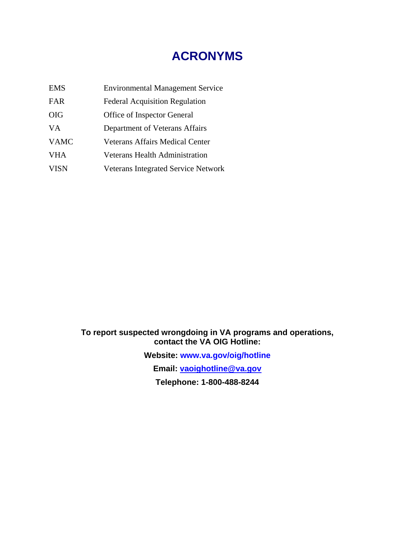# **ACRONYMS**

| <b>EMS</b>  | <b>Environmental Management Service</b>    |
|-------------|--------------------------------------------|
| <b>FAR</b>  | <b>Federal Acquisition Regulation</b>      |
| <b>OIG</b>  | Office of Inspector General                |
| VA.         | Department of Veterans Affairs             |
| <b>VAMC</b> | <b>Veterans Affairs Medical Center</b>     |
| <b>VHA</b>  | <b>Veterans Health Administration</b>      |
| <b>VISN</b> | <b>Veterans Integrated Service Network</b> |

**To report suspected wrongdoing in VA programs and operations, contact the VA OIG Hotline:**

> **Website: [www.va.gov/oig/hotline](http://www.va.gov/oig/hotline) Email: [vaoighotline@va.gov](mailto:vaoighotline@va.gov) Telephone: 1-800-488-8244**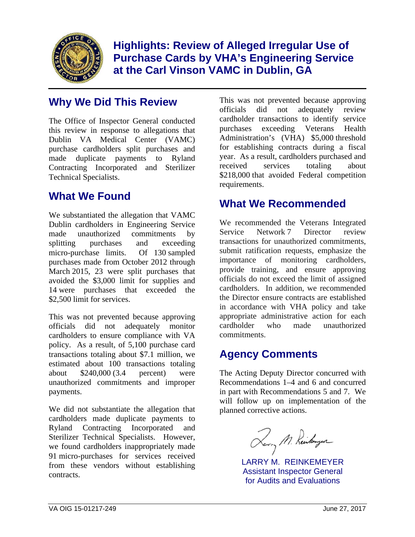

**Highlights: Review of Alleged Irregular Use of Purchase Cards by VHA's Engineering Service at the Carl Vinson VAMC in Dublin, GA** 

# **Why We Did This Review**

The Office of Inspector General conducted this review in response to allegations that Dublin VA Medical Center (VAMC) purchase cardholders split purchases and made duplicate payments to Ryland Contracting Incorporated and Sterilizer Technical Specialists.

# **What We Found**

We substantiated the allegation that VAMC Dublin cardholders in Engineering Service made unauthorized commitments by splitting purchases and exceeding micro-purchase limits. Of 130 sampled purchases made from October 2012 through March 2015, 23 were split purchases that avoided the \$3,000 limit for supplies and 14 were purchases that exceeded the \$2,500 limit for services.

This was not prevented because approving officials did not adequately monitor cardholders to ensure compliance with VA policy. As a result, of 5,100 purchase card transactions totaling about \$7.1 million, we estimated about 100 transactions totaling about \$240,000 (3.4 percent) were unauthorized commitments and improper payments.

We did not substantiate the allegation that cardholders made duplicate payments to Ryland Contracting Incorporated and Sterilizer Technical Specialists. However, we found cardholders inappropriately made 91 micro-purchases for services received from these vendors without establishing contracts.

This was not prevented because approving officials did not adequately review cardholder transactions to identify service purchases exceeding Veterans Health Administration's (VHA) \$5,000 threshold for establishing contracts during a fiscal year. As a result, cardholders purchased and received services totaling about \$218,000 that avoided Federal competition requirements.

# **What We Recommended**

We recommended the Veterans Integrated Service Network 7 Director review transactions for unauthorized commitments, submit ratification requests, emphasize the importance of monitoring cardholders, provide training, and ensure approving officials do not exceed the limit of assigned cardholders. In addition, we recommended the Director ensure contracts are established in accordance with VHA policy and take appropriate administrative action for each cardholder who made unauthorized commitments.

# **Agency Comments**

The Acting Deputy Director concurred with Recommendations 1–4 and 6 and concurred in part with Recommendations 5 and 7. We will follow up on implementation of the planned corrective actions.

Rerry M. Reinkomzer

LARRY M. REINKEMEYER Assistant Inspector General for Audits and Evaluations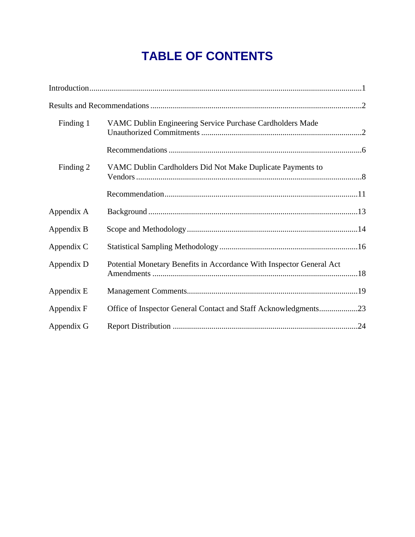# **TABLE OF CONTENTS**

| Finding 1  | VAMC Dublin Engineering Service Purchase Cardholders Made            |  |
|------------|----------------------------------------------------------------------|--|
|            |                                                                      |  |
| Finding 2  | VAMC Dublin Cardholders Did Not Make Duplicate Payments to           |  |
|            |                                                                      |  |
| Appendix A |                                                                      |  |
| Appendix B |                                                                      |  |
| Appendix C |                                                                      |  |
| Appendix D | Potential Monetary Benefits in Accordance With Inspector General Act |  |
| Appendix E |                                                                      |  |
| Appendix F | Office of Inspector General Contact and Staff Acknowledgments23      |  |
| Appendix G |                                                                      |  |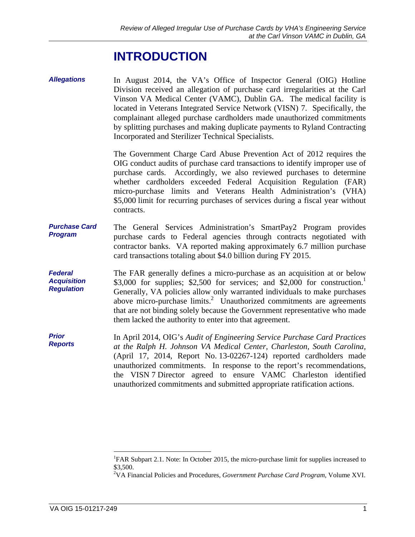# **INTRODUCTION**

<span id="page-4-0"></span>*Allegations*  In August 2014, the VA's Office of Inspector General (OIG) Hotline Division received an allegation of purchase card irregularities at the Carl Vinson VA Medical Center (VAMC), Dublin GA. The medical facility is located in Veterans Integrated Service Network (VISN) 7. Specifically, the complainant alleged purchase cardholders made unauthorized commitments by splitting purchases and making duplicate payments to Ryland Contracting Incorporated and Sterilizer Technical Specialists.

> The Government Charge Card Abuse Prevention Act of 2012 requires the OIG conduct audits of purchase card transactions to identify improper use of purchase cards. Accordingly, we also reviewed purchases to determine whether cardholders exceeded Federal Acquisition Regulation (FAR) micro-purchase limits and Veterans Health Administration's (VHA) \$5,000 limit for recurring purchases of services during a fiscal year without contracts.

- *Purchase Card Program*  The General Services Administration's SmartPay2 Program provides purchase cards to Federal agencies through contracts negotiated with contractor banks. VA reported making approximately 6.7 million purchase card transactions totaling about \$4.0 billion during FY 2015.
- *Federal Acquisition Regulation*  The FAR generally defines a micro-purchase as an acquisition at or below \$3,000 for supplies; \$2,500 for services; and \$2,000 for construction.<sup>1</sup> Generally, VA policies allow only warranted individuals to make purchases above micro-purchase limits.<sup>2</sup> Unauthorized commitments are agreements that are not binding solely because the Government representative who made them lacked the authority to enter into that agreement.

 the VISN 7 Director agreed to ensure VAMC Charleston identified *Prior Reports*  In April 2014, OIG's *Audit of Engineering Service Purchase Card Practices at the Ralph H. Johnson VA Medical Center, Charleston, South Carolina,*  (April 17, 2014, Report No. 13-02267-124) reported cardholders made unauthorized commitments. In response to the report's recommendations, unauthorized commitments and submitted appropriate ratification actions.

 $\overline{a}$ 

<sup>&</sup>lt;sup>1</sup>FAR Subpart 2.1. Note: In October 2015, the micro-purchase limit for supplies increased to \$3,500.

 2 VA Financial Policies and Procedures, *Government Purchase Card Program*, Volume XVI.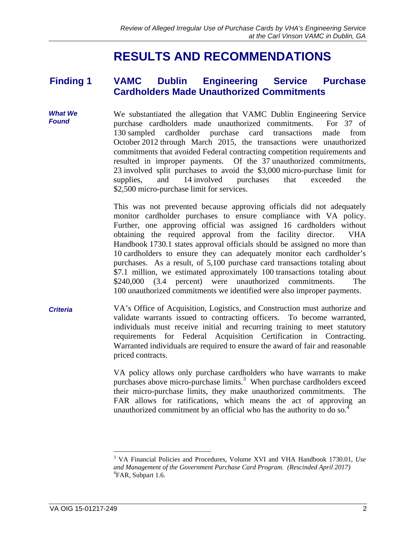# **RESULTS AND RECOMMENDATIONS**

### <span id="page-5-0"></span>**Finding 1 VAMC Dublin Engineering Service Purchase Cardholders Made Unauthorized Commitments**

**What We We substantiated the allegation that VAMC Dublin Engineering Service**<br>**Found Example 27** of purchase cardholders made unauthorized commitments. For 37 of 130 sampled cardholder purchase card transactions made from October 2012 through March 2015, the transactions were unauthorized commitments that avoided Federal contracting competition requirements and resulted in improper payments. Of the 37 unauthorized commitments, 23 involved split purchases to avoid the \$3,000 micro-purchase limit for supplies, and 14 involved purchases that exceeded the \$2,500 micro-purchase limit for services.

> This was not prevented because approving officials did not adequately monitor cardholder purchases to ensure compliance with VA policy. Further, one approving official was assigned 16 cardholders without obtaining the required approval from the facility director. VHA Handbook 1730.1 states approval officials should be assigned no more than 10 cardholders to ensure they can adequately monitor each cardholder's purchases. As a result, of 5,100 purchase card transactions totaling about \$7.1 million, we estimated approximately 100 transactions totaling about \$240,000 (3.4 percent) were unauthorized commitments. The 100 unauthorized commitments we identified were also improper payments.

*Criteria* VA's Office of Acquisition, Logistics, and Construction must authorize and validate warrants issued to contracting officers. To become warranted, individuals must receive initial and recurring training to meet statutory requirements for Federal Acquisition Certification in Contracting. Warranted individuals are required to ensure the award of fair and reasonable priced contracts.

> VA policy allows only purchase cardholders who have warrants to make purchases above micro-purchase limits.<sup>3</sup> When purchase cardholders exceed their micro-purchase limits, they make unauthorized commitments. The FAR allows for ratifications, which means the act of approving an unauthorized commitment by an official who has the authority to do so. $4$

 $\overline{a}$ 

<sup>3</sup> VA Financial Policies and Procedures, Volume XVI and VHA Handbook 1730.01, *Use and Management of the Government Purchase Card Program. (Rescinded April 2017)*  4 FAR, Subpart 1.6.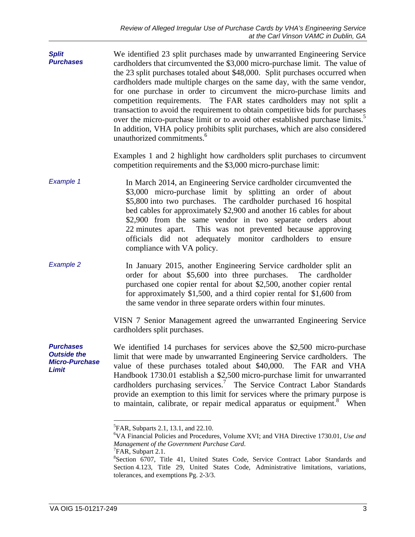over the micro-purchase limit or to avoid other established purchase limits.<sup>5</sup> *Split Purchases*  We identified 23 split purchases made by unwarranted Engineering Service cardholders that circumvented the \$3,000 micro-purchase limit. The value of the 23 split purchases totaled about \$48,000. Split purchases occurred when cardholders made multiple charges on the same day, with the same vendor, for one purchase in order to circumvent the micro-purchase limits and competition requirements. The FAR states cardholders may not split a transaction to avoid the requirement to obtain competitive bids for purchases In addition, VHA policy prohibits split purchases, which are also considered unauthorized commitments.<sup>6</sup>

> Examples 1 and 2 highlight how cardholders split purchases to circumvent competition requirements and the \$3,000 micro-purchase limit:

- *Example 1*  In March 2014, an Engineering Service cardholder circumvented the \$3,000 micro-purchase limit by splitting an order of about \$5,800 into two purchases. The cardholder purchased 16 hospital bed cables for approximately \$2,900 and another 16 cables for about \$2,900 from the same vendor in two separate orders about 22 minutes apart. This was not prevented because approving officials did not adequately monitor cardholders to ensure compliance with VA policy.
- *Example 2*  In January 2015, another Engineering Service cardholder split an order for about \$5,600 into three purchases. The cardholder purchased one copier rental for about \$2,500, another copier rental for approximately \$1,500, and a third copier rental for \$1,600 from the same vendor in three separate orders within four minutes.

VISN 7 Senior Management agreed the unwarranted Engineering Service cardholders split purchases.

*Micro-Purchase*  We identified 14 purchases for services above the \$2,500 micro-purchase limit that were made by unwarranted Engineering Service cardholders. The value of these purchases totaled about \$40,000. The FAR and VHA Handbook 1730.01 establish a \$2,500 micro-purchase limit for unwarranted cardholders purchasing services.<sup>7</sup> The Service Contract Labor Standards provide an exemption to this limit for services where the primary purpose is to maintain, calibrate, or repair medical apparatus or equipment.<sup>8</sup> When

 $\overline{a}$ 

*Purchases Outside the* 

*Limit* 

<sup>&</sup>lt;sup>5</sup> FAR, Subparts 2.1, 13.1, and 22.10.

<sup>6</sup> VA Financial Policies and Procedures, Volume XVI; and VHA Directive 1730.01, *Use and Management of the Government Purchase Card*. 7

 ${}^{7}$ FAR, Subpart 2.1.

 Section 4.123, Title 29, United States Code, Administrative limitations, variations, <sup>8</sup>Section 6707, Title 41, United States Code, Service Contract Labor Standards and tolerances, and exemptions Pg. 2-3/3.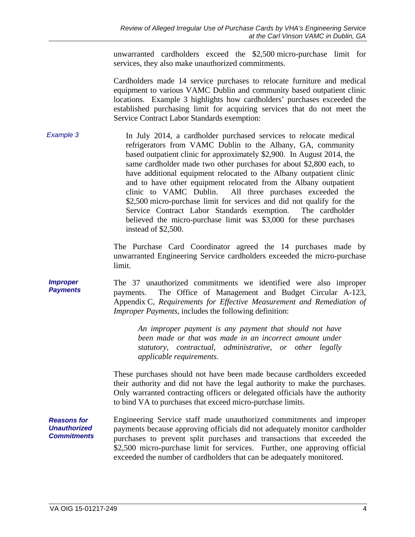unwarranted cardholders exceed the \$2,500 micro-purchase limit for services, they also make unauthorized commitments.

Cardholders made 14 service purchases to relocate furniture and medical equipment to various VAMC Dublin and community based outpatient clinic locations. Example 3 highlights how cardholders' purchases exceeded the established purchasing limit for acquiring services that do not meet the Service Contract Labor Standards exemption:

*Example 3*  In July 2014, a cardholder purchased services to relocate medical refrigerators from VAMC Dublin to the Albany, GA, community based outpatient clinic for approximately \$2,900. In August 2014, the same cardholder made two other purchases for about \$2,800 each, to have additional equipment relocated to the Albany outpatient clinic and to have other equipment relocated from the Albany outpatient clinic to VAMC Dublin. All three purchases exceeded the \$2,500 micro-purchase limit for services and did not qualify for the Service Contract Labor Standards exemption. The cardholder believed the micro-purchase limit was \$3,000 for these purchases instead of \$2,500.

> The Purchase Card Coordinator agreed the 14 purchases made by unwarranted Engineering Service cardholders exceeded the micro-purchase limit.

*Improper Payments* The 37 unauthorized commitments we identified were also improper payments. The Office of Management and Budget Circular A-123, Appendix C, *Requirements for Effective Measurement and Remediation of Improper Payments*, includes the following definition:

> *An improper payment is any payment that should not have been made or that was made in an incorrect amount under statutory, contractual, administrative, or other legally applicable requirements.*

These purchases should not have been made because cardholders exceeded their authority and did not have the legal authority to make the purchases. Only warranted contracting officers or delegated officials have the authority to bind VA to purchases that exceed micro-purchase limits.

*Reasons for Unauthorized Commitments*  Engineering Service staff made unauthorized commitments and improper payments because approving officials did not adequately monitor cardholder purchases to prevent split purchases and transactions that exceeded the \$2,500 micro-purchase limit for services. Further, one approving official exceeded the number of cardholders that can be adequately monitored.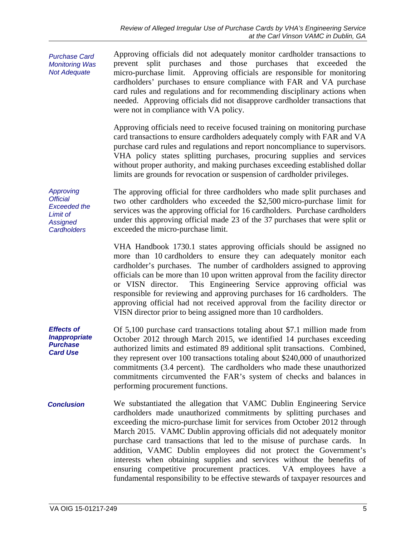**Not Adequate** *Purchase Card Monitoring Was Not Adequate Approving Official Exceeded the Limit of Assigned Cardholders Effects of Inappropriate Purchase Card Use Conclusion*  Approving officials did not adequately monitor cardholder transactions to prevent split purchases and those purchases that exceeded the micro-purchase limit. Approving officials are responsible for monitoring cardholders' purchases to ensure compliance with FAR and VA purchase card rules and regulations and for recommending disciplinary actions when needed. Approving officials did not disapprove cardholder transactions that were not in compliance with VA policy. Approving officials need to receive focused training on monitoring purchase card transactions to ensure cardholders adequately comply with FAR and VA purchase card rules and regulations and report noncompliance to supervisors. VHA policy states splitting purchases, procuring supplies and services without proper authority, and making purchases exceeding established dollar limits are grounds for revocation or suspension of cardholder privileges. The approving official for three cardholders who made split purchases and two other cardholders who exceeded the \$2,500 micro-purchase limit for services was the approving official for 16 cardholders. Purchase cardholders under this approving official made 23 of the 37 purchases that were split or exceeded the micro-purchase limit. VHA Handbook 1730.1 states approving officials should be assigned no more than 10 cardholders to ensure they can adequately monitor each cardholder's purchases. The number of cardholders assigned to approving officials can be more than 10 upon written approval from the facility director or VISN director. This Engineering Service approving official was responsible for reviewing and approving purchases for 16 cardholders. The approving official had not received approval from the facility director or VISN director prior to being assigned more than 10 cardholders. Of 5,100 purchase card transactions totaling about \$7.1 million made from October 2012 through March 2015, we identified 14 purchases exceeding authorized limits and estimated 89 additional split transactions. Combined, they represent over 100 transactions totaling about \$240,000 of unauthorized commitments (3.4 percent). The cardholders who made these unauthorized commitments circumvented the FAR's system of checks and balances in performing procurement functions. We substantiated the allegation that VAMC Dublin Engineering Service cardholders made unauthorized commitments by splitting purchases and exceeding the micro-purchase limit for services from October 2012 through March 2015. VAMC Dublin approving officials did not adequately monitor purchase card transactions that led to the misuse of purchase cards. In addition, VAMC Dublin employees did not protect the Government's interests when obtaining supplies and services without the benefits of ensuring competitive procurement practices. VA employees have a fundamental responsibility to be effective stewards of taxpayer resources and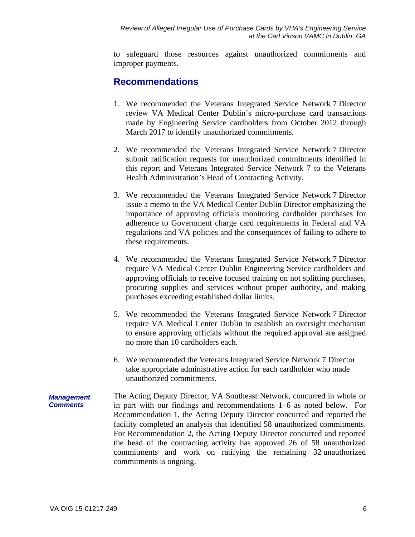<span id="page-9-0"></span>to safeguard those resources against unauthorized commitments and improper payments.

### **Recommendations**

- 1. We recommended the Veterans Integrated Service Network 7 Director review VA Medical Center Dublin's micro-purchase card transactions made by Engineering Service cardholders from October 2012 through March 2017 to identify unauthorized commitments.
- 2. We recommended the Veterans Integrated Service Network 7 Director submit ratification requests for unauthorized commitments identified in this report and Veterans Integrated Service Network 7 to the Veterans Health Administration's Head of Contracting Activity.
- 3. We recommended the Veterans Integrated Service Network 7 Director issue a memo to the VA Medical Center Dublin Director emphasizing the importance of approving officials monitoring cardholder purchases for adherence to Government charge card requirements in Federal and VA regulations and VA policies and the consequences of failing to adhere to these requirements.
- 4. We recommended the Veterans Integrated Service Network 7 Director require VA Medical Center Dublin Engineering Service cardholders and approving officials to receive focused training on not splitting purchases, procuring supplies and services without proper authority, and making purchases exceeding established dollar limits.
- 5. We recommended the Veterans Integrated Service Network 7 Director require VA Medical Center Dublin to establish an oversight mechanism to ensure approving officials without the required approval are assigned no more than 10 cardholders each.
- 6. We recommended the Veterans Integrated Service Network 7 Director take appropriate administrative action for each cardholder who made unauthorized commitments.
- *Management Comments*  The Acting Deputy Director, VA Southeast Network, concurred in whole or in part with our findings and recommendations 1–6 as noted below. For Recommendation 1, the Acting Deputy Director concurred and reported the facility completed an analysis that identified 58 unauthorized commitments. For Recommendation 2, the Acting Deputy Director concurred and reported the head of the contracting activity has approved 26 of 58 unauthorized commitments and work on ratifying the remaining 32 unauthorized commitments is ongoing.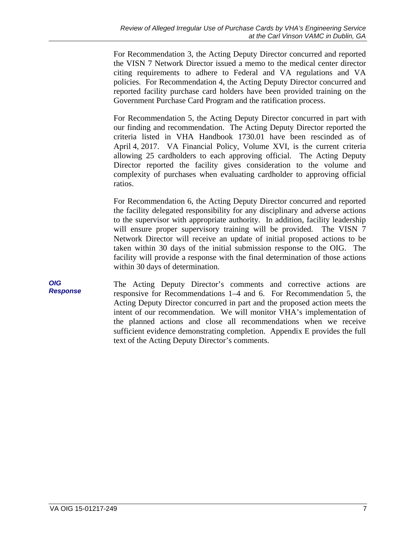For Recommendation 3, the Acting Deputy Director concurred and reported the VISN 7 Network Director issued a memo to the medical center director citing requirements to adhere to Federal and VA regulations and VA policies. For Recommendation 4, the Acting Deputy Director concurred and reported facility purchase card holders have been provided training on the Government Purchase Card Program and the ratification process.

For Recommendation 5, the Acting Deputy Director concurred in part with our finding and recommendation. The Acting Deputy Director reported the criteria listed in VHA Handbook 1730.01 have been rescinded as of April 4, 2017. VA Financial Policy, Volume XVI, is the current criteria allowing 25 cardholders to each approving official. The Acting Deputy Director reported the facility gives consideration to the volume and complexity of purchases when evaluating cardholder to approving official ratios.

For Recommendation 6, the Acting Deputy Director concurred and reported the facility delegated responsibility for any disciplinary and adverse actions to the supervisor with appropriate authority. In addition, facility leadership will ensure proper supervisory training will be provided. The VISN 7 Network Director will receive an update of initial proposed actions to be taken within 30 days of the initial submission response to the OIG. The facility will provide a response with the final determination of those actions within 30 days of determination.

*OIG Response*  The Acting Deputy Director's comments and corrective actions are responsive for Recommendations 1–4 and 6. For Recommendation 5, the Acting Deputy Director concurred in part and the proposed action meets the intent of our recommendation. We will monitor VHA's implementation of the planned actions and close all recommendations when we receive sufficient evidence demonstrating completion. Appendix E provides the full text of the Acting Deputy Director's comments.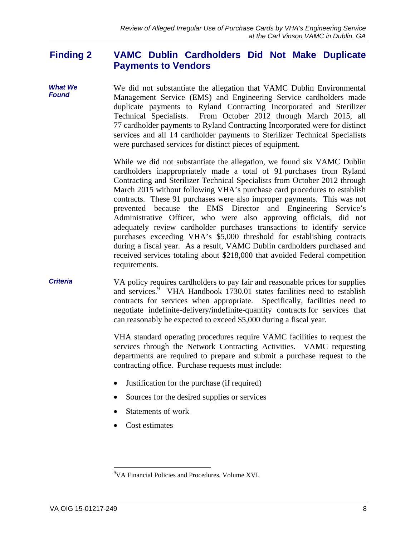#### <span id="page-11-0"></span>**Finding 2 VAMC Dublin Cardholders Did Not Make Duplicate Payments to Vendors**

*What We Found*  We did not substantiate the allegation that VAMC Dublin Environmental Management Service (EMS) and Engineering Service cardholders made duplicate payments to Ryland Contracting Incorporated and Sterilizer Technical Specialists. From October 2012 through March 2015, all 77 cardholder payments to Ryland Contracting Incorporated were for distinct services and all 14 cardholder payments to Sterilizer Technical Specialists were purchased services for distinct pieces of equipment.

> While we did not substantiate the allegation, we found six VAMC Dublin cardholders inappropriately made a total of 91 purchases from Ryland Contracting and Sterilizer Technical Specialists from October 2012 through March 2015 without following VHA's purchase card procedures to establish contracts. These 91 purchases were also improper payments. This was not prevented because the EMS Director and Engineering Service's Administrative Officer, who were also approving officials, did not adequately review cardholder purchases transactions to identify service purchases exceeding VHA's \$5,000 threshold for establishing contracts during a fiscal year. As a result, VAMC Dublin cardholders purchased and received services totaling about \$218,000 that avoided Federal competition requirements.

### *Criteria*  VA policy requires cardholders to pay fair and reasonable prices for supplies and services.<sup>9</sup> VHA Handbook 1730.01 states facilities need to establish contracts for services when appropriate. Specifically, facilities need to negotiate indefinite-delivery/indefinite-quantity contracts for services that can reasonably be expected to exceed \$5,000 during a fiscal year.

VHA standard operating procedures require VAMC facilities to request the services through the Network Contracting Activities. VAMC requesting departments are required to prepare and submit a purchase request to the contracting office. Purchase requests must include:

- Justification for the purchase (if required)
- Sources for the desired supplies or services
- Statements of work
- Cost estimates

 9 VA Financial Policies and Procedures, Volume XVI.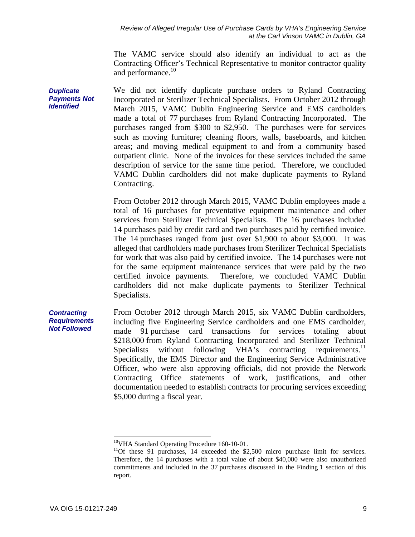The VAMC service should also identify an individual to act as the Contracting Officer's Technical Representative to monitor contractor quality and performance.<sup>10</sup>

*Duplicate Payments Not Identified*  We did not identify duplicate purchase orders to Ryland Contracting Incorporated or Sterilizer Technical Specialists. From October 2012 through March 2015, VAMC Dublin Engineering Service and EMS cardholders made a total of 77 purchases from Ryland Contracting Incorporated. The purchases ranged from \$300 to \$2,950. The purchases were for services such as moving furniture; cleaning floors, walls, baseboards, and kitchen areas; and moving medical equipment to and from a community based outpatient clinic. None of the invoices for these services included the same description of service for the same time period. Therefore, we concluded VAMC Dublin cardholders did not make duplicate payments to Ryland Contracting.

> 14 purchases paid by credit card and two purchases paid by certified invoice. From October 2012 through March 2015, VAMC Dublin employees made a total of 16 purchases for preventative equipment maintenance and other services from Sterilizer Technical Specialists. The 16 purchases included The 14 purchases ranged from just over  $$1,900$  to about  $$3,000$ . It was alleged that cardholders made purchases from Sterilizer Technical Specialists for work that was also paid by certified invoice. The 14 purchases were not for the same equipment maintenance services that were paid by the two certified invoice payments. Therefore, we concluded VAMC Dublin cardholders did not make duplicate payments to Sterilizer Technical Specialists.

Specialists without following VHA's contracting requirements.<sup>11</sup> *Contracting Requirements Not Followed*  From October 2012 through March 2015, six VAMC Dublin cardholders, including five Engineering Service cardholders and one EMS cardholder, made 91 purchase card transactions for services totaling about \$218,000 from Ryland Contracting Incorporated and Sterilizer Technical Specifically, the EMS Director and the Engineering Service Administrative Officer, who were also approving officials, did not provide the Network Contracting Office statements of work, justifications, and other documentation needed to establish contracts for procuring services exceeding \$5,000 during a fiscal year.

 $\overline{a}$ 

<sup>&</sup>lt;sup>10</sup>VHA Standard Operating Procedure 160-10-01.<br><sup>11</sup>Of these 91 purchases, 14 exceeded the \$2,500 micro purchase limit for services.<br>Therefore, the 14 purchases with a total value of about \$40,000 were also unauthorized commitments and included in the 37 purchases discussed in the Finding 1 section of this report.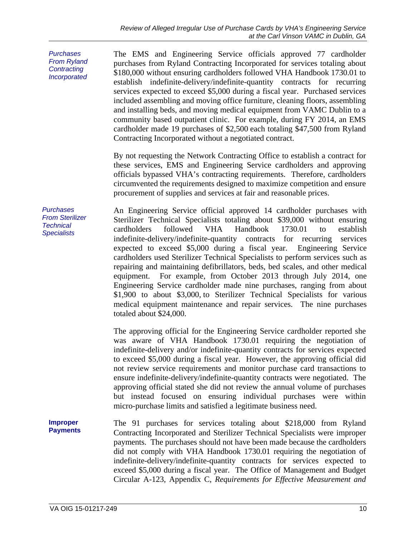*Purchases From Ryland Contracting Incorporated Purchases From Sterilizer Technical Specialists*  **Improper Payments**  The EMS and Engineering Service officials approved 77 cardholder purchases from Ryland Contracting Incorporated for services totaling about \$180,000 without ensuring cardholders followed VHA Handbook 1730.01 to establish indefinite-delivery/indefinite-quantity contracts for recurring services expected to exceed \$5,000 during a fiscal year. Purchased services included assembling and moving office furniture, cleaning floors, assembling and installing beds, and moving medical equipment from VAMC Dublin to a community based outpatient clinic. For example, during FY 2014, an EMS cardholder made 19 purchases of \$2,500 each totaling \$47,500 from Ryland Contracting Incorporated without a negotiated contract. By not requesting the Network Contracting Office to establish a contract for these services, EMS and Engineering Service cardholders and approving officials bypassed VHA's contracting requirements. Therefore, cardholders circumvented the requirements designed to maximize competition and ensure procurement of supplies and services at fair and reasonable prices. An Engineering Service official approved 14 cardholder purchases with Sterilizer Technical Specialists totaling about \$39,000 without ensuring cardholders followed VHA Handbook 1730.01 to establish indefinite-delivery/indefinite-quantity contracts for recurring services expected to exceed \$5,000 during a fiscal year. Engineering Service cardholders used Sterilizer Technical Specialists to perform services such as repairing and maintaining defibrillators, beds, bed scales, and other medical equipment. For example, from October 2013 through July 2014, one Engineering Service cardholder made nine purchases, ranging from about \$1,900 to about \$3,000, to Sterilizer Technical Specialists for various medical equipment maintenance and repair services. The nine purchases totaled about \$24,000. The approving official for the Engineering Service cardholder reported she was aware of VHA Handbook 1730.01 requiring the negotiation of indefinite-delivery and/or indefinite-quantity contracts for services expected to exceed \$5,000 during a fiscal year. However, the approving official did not review service requirements and monitor purchase card transactions to ensure indefinite-delivery/indefinite-quantity contracts were negotiated. The approving official stated she did not review the annual volume of purchases but instead focused on ensuring individual purchases were within micro-purchase limits and satisfied a legitimate business need. The 91 purchases for services totaling about \$218,000 from Ryland Contracting Incorporated and Sterilizer Technical Specialists were improper payments. The purchases should not have been made because the cardholders did not comply with VHA Handbook 1730.01 requiring the negotiation of indefinite-delivery/indefinite-quantity contracts for services expected to exceed \$5,000 during a fiscal year. The Office of Management and Budget Circular A-123, Appendix C, *Requirements for Effective Measurement and*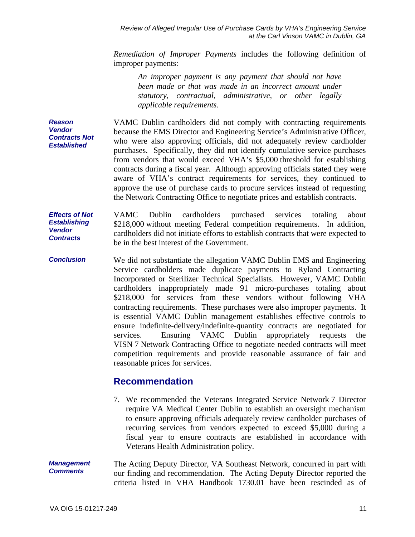<span id="page-14-0"></span>*Remediation of Improper Payments* includes the following definition of improper payments:

*An improper payment is any payment that should not have been made or that was made in an incorrect amount under statutory, contractual, administrative, or other legally applicable requirements.* 

*Reason Vendor Contracts Not Established*  VAMC Dublin cardholders did not comply with contracting requirements because the EMS Director and Engineering Service's Administrative Officer, who were also approving officials, did not adequately review cardholder purchases. Specifically, they did not identify cumulative service purchases from vendors that would exceed VHA's \$5,000 threshold for establishing contracts during a fiscal year. Although approving officials stated they were aware of VHA's contract requirements for services, they continued to approve the use of purchase cards to procure services instead of requesting the Network Contracting Office to negotiate prices and establish contracts.

*Effects of Not Establishing Vendor Contracts*  VAMC Dublin cardholders purchased services totaling about \$218,000 without meeting Federal competition requirements. In addition, cardholders did not initiate efforts to establish contracts that were expected to be in the best interest of the Government.

*Conclusion*  We did not substantiate the allegation VAMC Dublin EMS and Engineering Service cardholders made duplicate payments to Ryland Contracting Incorporated or Sterilizer Technical Specialists. However, VAMC Dublin cardholders inappropriately made 91 micro-purchases totaling about \$218,000 for services from these vendors without following VHA contracting requirements. These purchases were also improper payments. It is essential VAMC Dublin management establishes effective controls to ensure indefinite-delivery/indefinite-quantity contracts are negotiated for services. Ensuring VAMC Dublin appropriately requests the VISN 7 Network Contracting Office to negotiate needed contracts will meet competition requirements and provide reasonable assurance of fair and reasonable prices for services.

### **Recommendation**

7. We recommended the Veterans Integrated Service Network 7 Director require VA Medical Center Dublin to establish an oversight mechanism to ensure approving officials adequately review cardholder purchases of recurring services from vendors expected to exceed \$5,000 during a fiscal year to ensure contracts are established in accordance with Veterans Health Administration policy.

The Acting Deputy Director, VA Southeast Network, concurred in part with our finding and recommendation. The Acting Deputy Director reported the criteria listed in VHA Handbook 1730.01 have been rescinded as of *Management Comments*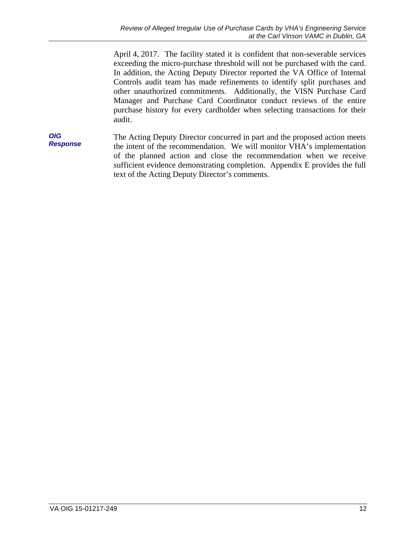exceeding the micro-purchase threshold will not be purchased with the card. April 4, 2017. The facility stated it is confident that non-severable services In addition, the Acting Deputy Director reported the VA Office of Internal Controls audit team has made refinements to identify split purchases and other unauthorized commitments. Additionally, the VISN Purchase Card Manager and Purchase Card Coordinator conduct reviews of the entire purchase history for every cardholder when selecting transactions for their audit.

*OIG Response*  The Acting Deputy Director concurred in part and the proposed action meets the intent of the recommendation. We will monitor VHA's implementation of the planned action and close the recommendation when we receive sufficient evidence demonstrating completion. Appendix E provides the full text of the Acting Deputy Director's comments.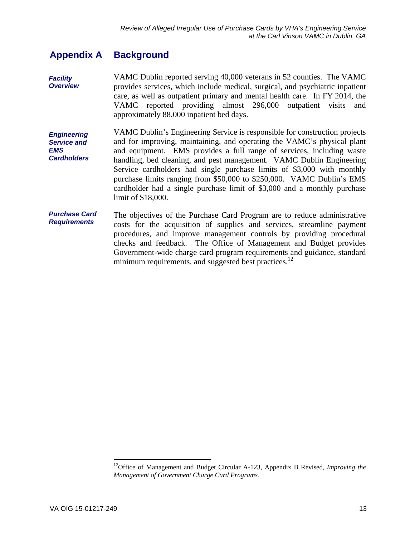#### <span id="page-16-0"></span>**Appendix A Background**

*Facility Overview*  VAMC Dublin reported serving 40,000 veterans in 52 counties. The VAMC provides services, which include medical, surgical, and psychiatric inpatient care, as well as outpatient primary and mental health care. In FY 2014, the VAMC reported providing almost 296,000 outpatient visits and approximately 88,000 inpatient bed days.

*Engineering Service and EMS Cardholders*  VAMC Dublin's Engineering Service is responsible for construction projects and for improving, maintaining, and operating the VAMC's physical plant and equipment. EMS provides a full range of services, including waste handling, bed cleaning, and pest management. VAMC Dublin Engineering Service cardholders had single purchase limits of \$3,000 with monthly purchase limits ranging from \$50,000 to \$250,000. VAMC Dublin's EMS cardholder had a single purchase limit of \$3,000 and a monthly purchase limit of \$18,000.

*Purchase Card Requirements*  The objectives of the Purchase Card Program are to reduce administrative costs for the acquisition of supplies and services, streamline payment procedures, and improve management controls by providing procedural checks and feedback. The Office of Management and Budget provides Government-wide charge card program requirements and guidance, standard minimum requirements, and suggested best practices.<sup>12</sup>

 $\overline{a}$ 

<sup>&</sup>lt;sup>12</sup>Office of Management and Budget Circular A-123, Appendix B Revised, *Improving the Management of Government Charge Card Programs.*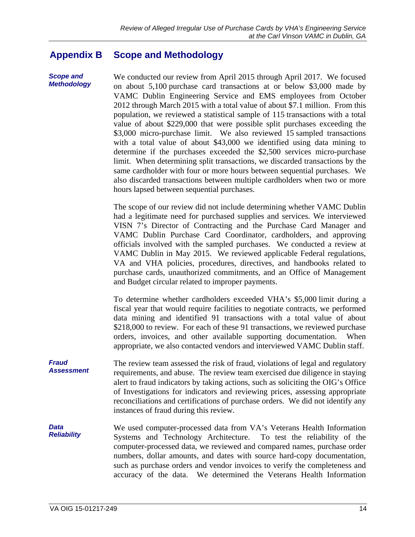#### <span id="page-17-0"></span>**Appendix B Scope and Methodology**

*Scope and Methodology* 

We conducted our review from April 2015 through April 2017. We focused on about 5,100 purchase card transactions at or below \$3,000 made by VAMC Dublin Engineering Service and EMS employees from October 2012 through March 2015 with a total value of about \$7.1 million. From this population, we reviewed a statistical sample of 115 transactions with a total value of about \$229,000 that were possible split purchases exceeding the \$3,000 micro-purchase limit. We also reviewed 15 sampled transactions with a total value of about \$43,000 we identified using data mining to determine if the purchases exceeded the \$2,500 services micro-purchase limit. When determining split transactions, we discarded transactions by the same cardholder with four or more hours between sequential purchases. We also discarded transactions between multiple cardholders when two or more hours lapsed between sequential purchases.

The scope of our review did not include determining whether VAMC Dublin had a legitimate need for purchased supplies and services. We interviewed VISN 7's Director of Contracting and the Purchase Card Manager and VAMC Dublin Purchase Card Coordinator, cardholders, and approving officials involved with the sampled purchases. We conducted a review at VAMC Dublin in May 2015. We reviewed applicable Federal regulations, VA and VHA policies, procedures, directives, and handbooks related to purchase cards, unauthorized commitments, and an Office of Management and Budget circular related to improper payments.

To determine whether cardholders exceeded VHA's \$5,000 limit during a fiscal year that would require facilities to negotiate contracts, we performed data mining and identified 91 transactions with a total value of about \$218,000 to review. For each of these 91 transactions, we reviewed purchase orders, invoices, and other available supporting documentation. When appropriate, we also contacted vendors and interviewed VAMC Dublin staff.

*Fraud Assessment*  The review team assessed the risk of fraud, violations of legal and regulatory requirements, and abuse. The review team exercised due diligence in staying alert to fraud indicators by taking actions, such as soliciting the OIG's Office of Investigations for indicators and reviewing prices, assessing appropriate reconciliations and certifications of purchase orders. We did not identify any instances of fraud during this review.

*Data Reliability*  We used computer-processed data from VA's Veterans Health Information Systems and Technology Architecture. To test the reliability of the computer-processed data, we reviewed and compared names, purchase order numbers, dollar amounts, and dates with source hard-copy documentation, such as purchase orders and vendor invoices to verify the completeness and accuracy of the data. We determined the Veterans Health Information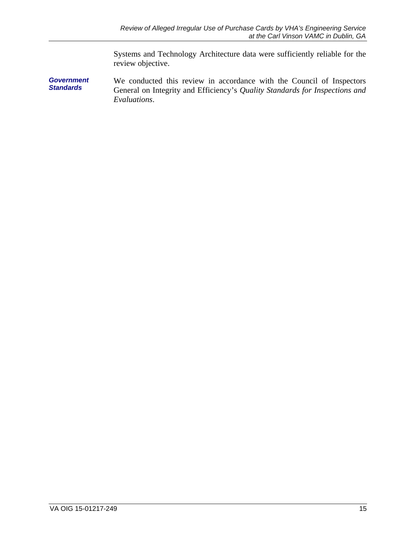Systems and Technology Architecture data were sufficiently reliable for the review objective.

*Government Standards*  We conducted this review in accordance with the Council of Inspectors General on Integrity and Efficiency's *Quality Standards for Inspections and Evaluations*.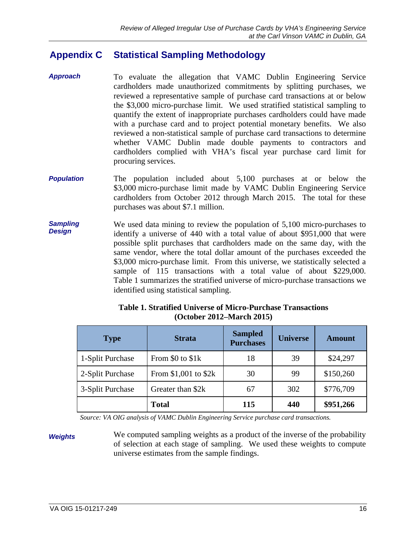#### <span id="page-19-0"></span>**Appendix C Statistical Sampling Methodology**

- *Approach*  To evaluate the allegation that VAMC Dublin Engineering Service cardholders made unauthorized commitments by splitting purchases, we reviewed a representative sample of purchase card transactions at or below the \$3,000 micro-purchase limit. We used stratified statistical sampling to quantify the extent of inappropriate purchases cardholders could have made with a purchase card and to project potential monetary benefits. We also reviewed a non-statistical sample of purchase card transactions to determine whether VAMC Dublin made double payments to contractors and cardholders complied with VHA's fiscal year purchase card limit for procuring services.
- *Population*  The population included about 5,100 purchases at or below the \$3,000 micro-purchase limit made by VAMC Dublin Engineering Service cardholders from October 2012 through March 2015. The total for these purchases was about \$7.1 million.
- *Sampling Design*  We used data mining to review the population of 5,100 micro-purchases to identify a universe of 440 with a total value of about \$951,000 that were possible split purchases that cardholders made on the same day, with the same vendor, where the total dollar amount of the purchases exceeded the \$3,000 micro-purchase limit. From this universe, we statistically selected a sample of 115 transactions with a total value of about \$229,000. Table 1 summarizes the stratified universe of micro-purchase transactions we identified using statistical sampling.

| <b>Type</b>      | <b>Strata</b>        | <b>Sampled</b><br><b>Purchases</b> | <b>Universe</b> | <b>Amount</b> |
|------------------|----------------------|------------------------------------|-----------------|---------------|
| 1-Split Purchase | From \$0 to \$1k     | 18                                 | 39              | \$24,297      |
| 2-Split Purchase | From \$1,001 to \$2k | 30                                 | 99              | \$150,260     |
| 3-Split Purchase | Greater than \$2k    | 67                                 | 302             | \$776,709     |
|                  | <b>Total</b>         | 115                                | 440             | \$951,266     |

**Table 1. Stratified Universe of Micro-Purchase Transactions (October 2012–March 2015)** 

*Source: VA OIG analysis of VAMC Dublin Engineering Service purchase card transactions.* 

**Weights** We computed sampling weights as a product of the inverse of the probability of selection at each stage of sampling. We used these weights to compute universe estimates from the sample findings.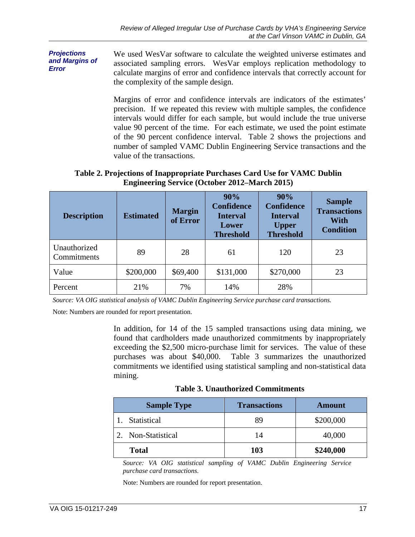*Projections and Margins of Error*  We used WesVar software to calculate the weighted universe estimates and associated sampling errors. WesVar employs replication methodology to calculate margins of error and confidence intervals that correctly account for the complexity of the sample design.

> Margins of error and confidence intervals are indicators of the estimates' precision. If we repeated this review with multiple samples, the confidence intervals would differ for each sample, but would include the true universe value 90 percent of the time. For each estimate, we used the point estimate of the 90 percent confidence interval. Table 2 shows the projections and number of sampled VAMC Dublin Engineering Service transactions and the value of the transactions.

### **Table 2. Projections of Inappropriate Purchases Card Use for VAMC Dublin Engineering Service (October 2012–March 2015)**

| <b>Description</b>          | <b>Estimated</b> | <b>Margin</b><br>of Error | 90%<br><b>Confidence</b><br><b>Interval</b><br>Lower<br><b>Threshold</b> | 90%<br><b>Confidence</b><br><b>Interval</b><br><b>Upper</b><br><b>Threshold</b> | <b>Sample</b><br><b>Transactions</b><br>With<br><b>Condition</b> |
|-----------------------------|------------------|---------------------------|--------------------------------------------------------------------------|---------------------------------------------------------------------------------|------------------------------------------------------------------|
| Unauthorized<br>Commitments | 89               | 28                        | 61                                                                       | 120                                                                             | 23                                                               |
| Value                       | \$200,000        | \$69,400                  | \$131,000                                                                | \$270,000                                                                       | 23                                                               |
| Percent                     | 21%              | 7%                        | 14%                                                                      | 28%                                                                             |                                                                  |

 *Source: VA OIG statistical analysis of VAMC Dublin Engineering Service purchase card transactions.* 

Note: Numbers are rounded for report presentation.

In addition, for 14 of the 15 sampled transactions using data mining, we found that cardholders made unauthorized commitments by inappropriately exceeding the \$2,500 micro-purchase limit for services. The value of these purchases was about \$40,000. Table 3 summarizes the unauthorized commitments we identified using statistical sampling and non-statistical data mining.

**Table 3. Unauthorized Commitments** 

| <b>Sample Type</b> | <b>Transactions</b> | <b>Amount</b> |
|--------------------|---------------------|---------------|
| Statistical        | 89                  | \$200,000     |
| Non-Statistical    | 14                  | 40,000        |
| <b>Total</b>       | 103                 | \$240,000     |

*Source: VA OIG statistical sampling of VAMC Dublin Engineering Service purchase card transactions.* 

Note: Numbers are rounded for report presentation.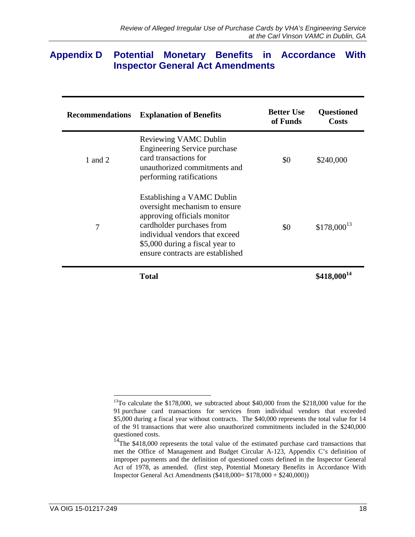### <span id="page-21-0"></span>**Appendix D Potential Monetary Benefits in Accordance With Inspector General Act Amendments**

| <b>Recommendations</b> | <b>Explanation of Benefits</b>                                                                                                                                                                                                   | <b>Better Use</b><br>of Funds | <b>Questioned</b><br>Costs |
|------------------------|----------------------------------------------------------------------------------------------------------------------------------------------------------------------------------------------------------------------------------|-------------------------------|----------------------------|
| 1 and 2                | <b>Reviewing VAMC Dublin</b><br><b>Engineering Service purchase</b><br>card transactions for<br>unauthorized commitments and<br>performing ratifications                                                                         | \$0                           | \$240,000                  |
| 7                      | Establishing a VAMC Dublin<br>oversight mechanism to ensure<br>approving officials monitor<br>cardholder purchases from<br>individual vendors that exceed<br>\$5,000 during a fiscal year to<br>ensure contracts are established | \$0                           | $$178,000^{13}$            |
|                        | <b>Total</b>                                                                                                                                                                                                                     |                               | $$418,000^{14}$            |

 $\overline{a}$ \$5,000 during a fiscal year without contracts. The \$40,000 represents the total value for 14  $13$ To calculate the \$178,000, we subtracted about \$40,000 from the \$218,000 value for the 91 purchase card transactions for services from individual vendors that exceeded of the 91 transactions that were also unauthorized commitments included in the \$240,000 questioned costs.

 $14$ The \$418,000 represents the total value of the estimated purchase card transactions that met the Office of Management and Budget Circular A-123, Appendix C's definition of improper payments and the definition of questioned costs defined in the Inspector General Act of 1978, as amended. (first step, Potential Monetary Benefits in Accordance With Inspector General Act Amendments (\$418,000= \$178,000 + \$240,000))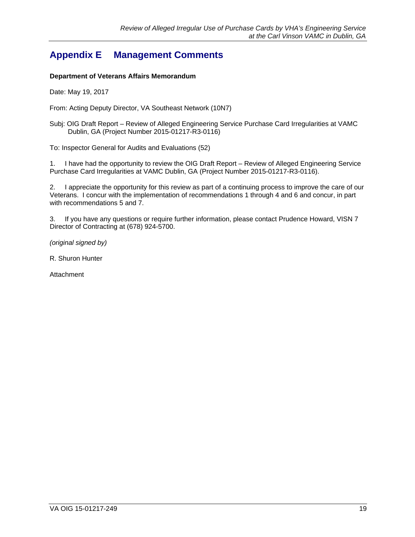# <span id="page-22-0"></span>**Appendix E Management Comments**

### **Department of Veterans Affairs Memorandum**

Date: May 19, 2017

From: Acting Deputy Director, VA Southeast Network (10N7)

Subj: OIG Draft Report – Review of Alleged Engineering Service Purchase Card Irregularities at VAMC Dublin, GA (Project Number 2015-01217-R3-0116)

To: Inspector General for Audits and Evaluations (52)

1. I have had the opportunity to review the OIG Draft Report – Review of Alleged Engineering Service Purchase Card Irregularities at VAMC Dublin, GA (Project Number 2015-01217-R3-0116).

2. I appreciate the opportunity for this review as part of a continuing process to improve the care of our Veterans. I concur with the implementation of recommendations 1 through 4 and 6 and concur, in part with recommendations 5 and 7.

3. If you have any questions or require further information, please contact Prudence Howard, VISN 7 Director of Contracting at (678) 924-5700.

*(original signed by)* 

R. Shuron Hunter

**Attachment**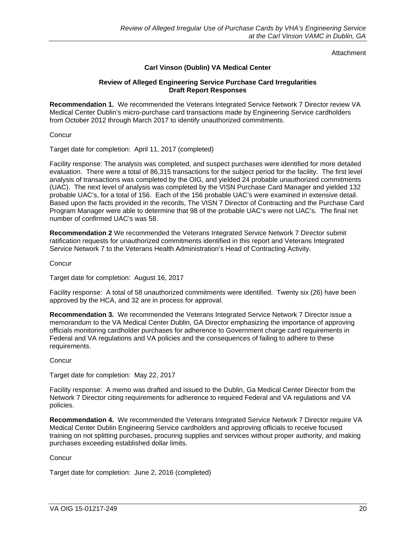**Attachment** 

### **Carl Vinson (Dublin) VA Medical Center**

### **Review of Alleged Engineering Service Purchase Card Irregularities Draft Report Responses**

**Recommendation 1.** We recommended the Veterans Integrated Service Network 7 Director review VA Medical Center Dublin's micro-purchase card transactions made by Engineering Service cardholders from October 2012 through March 2017 to identify unauthorized commitments.

**Concur** 

Target date for completion: April 11, 2017 (completed)

Facility response: The analysis was completed, and suspect purchases were identified for more detailed evaluation. There were a total of 86,315 transactions for the subject period for the facility. The first level analysis of transactions was completed by the OIG, and yielded 24 probable unauthorized commitments (UAC). The next level of analysis was completed by the VISN Purchase Card Manager and yielded 132 probable UAC's, for a total of 156. Each of the 156 probable UAC's were examined in extensive detail. Based upon the facts provided in the records, The VISN 7 Director of Contracting and the Purchase Card Program Manager were able to determine that 98 of the probable UAC's were not UAC's. The final net number of confirmed UAC's was 58.

**Recommendation 2** We recommended the Veterans Integrated Service Network 7 Director submit ratification requests for unauthorized commitments identified in this report and Veterans Integrated Service Network 7 to the Veterans Health Administration's Head of Contracting Activity.

**Concur** 

Target date for completion: August 16, 2017

Facility response: A total of 58 unauthorized commitments were identified. Twenty six (26) have been approved by the HCA, and 32 are in process for approval.

**Recommendation 3.** We recommended the Veterans Integrated Service Network 7 Director issue a memorandum to the VA Medical Center Dublin, GA Director emphasizing the importance of approving officials monitoring cardholder purchases for adherence to Government charge card requirements in Federal and VA regulations and VA policies and the consequences of failing to adhere to these requirements.

**Concur** 

Target date for completion: May 22, 2017

Facility response: A memo was drafted and issued to the Dublin, Ga Medical Center Director from the Network 7 Director citing requirements for adherence to required Federal and VA regulations and VA policies.

**Recommendation 4.** We recommended the Veterans Integrated Service Network 7 Director require VA Medical Center Dublin Engineering Service cardholders and approving officials to receive focused training on not splitting purchases, procuring supplies and services without proper authority, and making purchases exceeding established dollar limits.

**Concur** 

Target date for completion: June 2, 2016 (completed)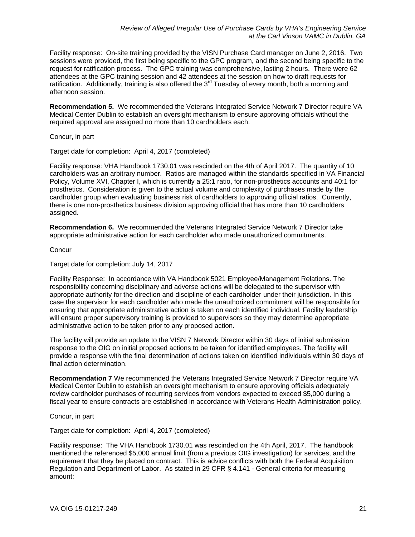Facility response: On-site training provided by the VISN Purchase Card manager on June 2, 2016. Two sessions were provided, the first being specific to the GPC program, and the second being specific to the request for ratification process. The GPC training was comprehensive, lasting 2 hours. There were 62 attendees at the GPC training session and 42 attendees at the session on how to draft requests for ratification. Additionally, training is also offered the  $3<sup>rd</sup>$  Tuesday of every month, both a morning and afternoon session.

**Recommendation 5.** We recommended the Veterans Integrated Service Network 7 Director require VA Medical Center Dublin to establish an oversight mechanism to ensure approving officials without the required approval are assigned no more than 10 cardholders each.

Concur, in part

Target date for completion: April 4, 2017 (completed)

Facility response: VHA Handbook 1730.01 was rescinded on the 4th of April 2017. The quantity of 10 cardholders was an arbitrary number. Ratios are managed within the standards specified in VA Financial Policy, Volume XVI, Chapter I, which is currently a 25:1 ratio, for non-prosthetics accounts and 40:1 for prosthetics. Consideration is given to the actual volume and complexity of purchases made by the cardholder group when evaluating business risk of cardholders to approving official ratios. Currently, there is one non-prosthetics business division approving official that has more than 10 cardholders assigned.

**Recommendation 6.** We recommended the Veterans Integrated Service Network 7 Director take appropriate administrative action for each cardholder who made unauthorized commitments.

**Concur** 

Target date for completion: July 14, 2017

Facility Response: In accordance with VA Handbook 5021 Employee/Management Relations. The responsibility concerning disciplinary and adverse actions will be delegated to the supervisor with appropriate authority for the direction and discipline of each cardholder under their jurisdiction. In this case the supervisor for each cardholder who made the unauthorized commitment will be responsible for ensuring that appropriate administrative action is taken on each identified individual. Facility leadership will ensure proper supervisory training is provided to supervisors so they may determine appropriate administrative action to be taken prior to any proposed action.

The facility will provide an update to the VISN 7 Network Director within 30 days of initial submission response to the OIG on initial proposed actions to be taken for identified employees. The facility will provide a response with the final determination of actions taken on identified individuals within 30 days of final action determination.

**Recommendation 7** We recommended the Veterans Integrated Service Network 7 Director require VA Medical Center Dublin to establish an oversight mechanism to ensure approving officials adequately review cardholder purchases of recurring services from vendors expected to exceed \$5,000 during a fiscal year to ensure contracts are established in accordance with Veterans Health Administration policy.

Concur, in part

Target date for completion: April 4, 2017 (completed)

Facility response: The VHA Handbook 1730.01 was rescinded on the 4th April, 2017. The handbook mentioned the referenced \$5,000 annual limit (from a previous OIG investigation) for services, and the requirement that they be placed on contract. This is advice conflicts with both the Federal Acquisition Regulation and Department of Labor. As stated in 29 CFR § 4.141 - General criteria for measuring amount: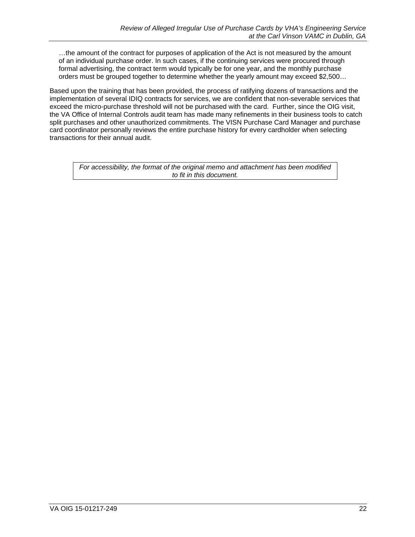…the amount of the contract for purposes of application of the Act is not measured by the amount of an individual purchase order. In such cases, if the continuing services were procured through formal advertising, the contract term would typically be for one year, and the monthly purchase orders must be grouped together to determine whether the yearly amount may exceed \$2,500…

Based upon the training that has been provided, the process of ratifying dozens of transactions and the implementation of several IDIQ contracts for services, we are confident that non-severable services that exceed the micro-purchase threshold will not be purchased with the card. Further, since the OIG visit, the VA Office of Internal Controls audit team has made many refinements in their business tools to catch split purchases and other unauthorized commitments. The VISN Purchase Card Manager and purchase card coordinator personally reviews the entire purchase history for every cardholder when selecting transactions for their annual audit.

*For accessibility, the format of the original memo and attachment has been modified to fit in this document.*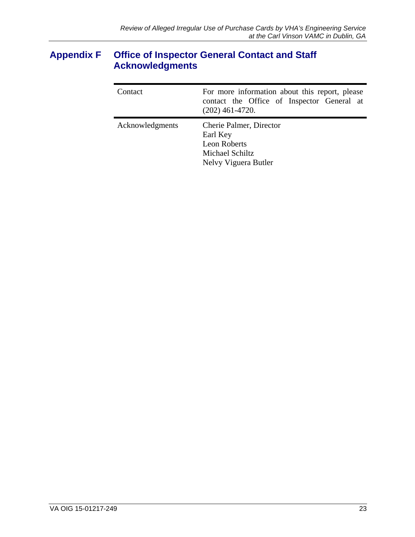# <span id="page-26-0"></span>**Appendix F Office of Inspector General Contact and Staff Acknowledgments**

| Contact         | For more information about this report, please<br>contact the Office of Inspector General at<br>$(202)$ 461-4720. |  |
|-----------------|-------------------------------------------------------------------------------------------------------------------|--|
| Acknowledgments | Cherie Palmer, Director<br>Earl Key<br><b>Leon Roberts</b><br>Michael Schiltz<br>Nelvy Viguera Butler             |  |